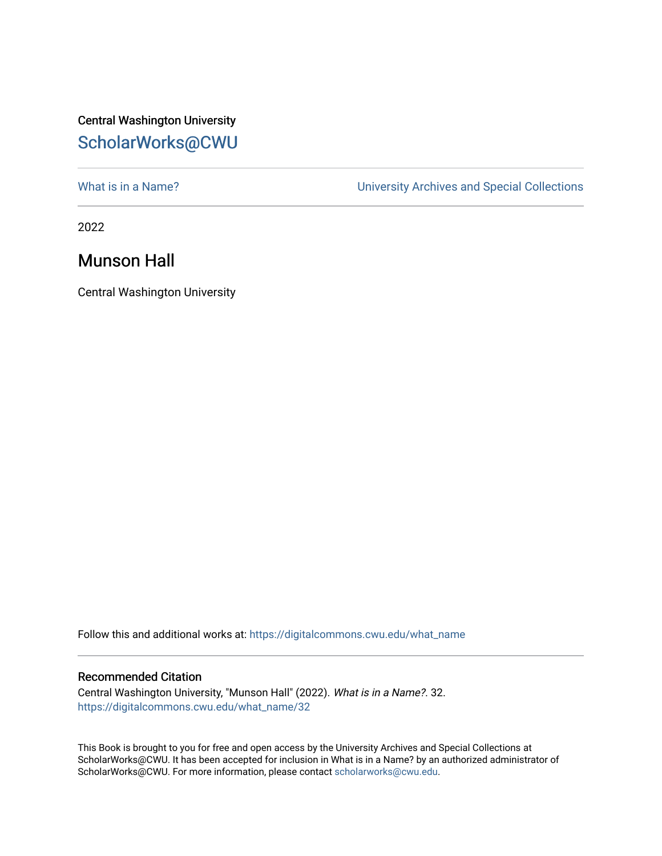## Central Washington University [ScholarWorks@CWU](https://digitalcommons.cwu.edu/)

[What is in a Name?](https://digitalcommons.cwu.edu/what_name) **What is in a Name?** University Archives and Special Collections

2022

## Munson Hall

Central Washington University

Follow this and additional works at: [https://digitalcommons.cwu.edu/what\\_name](https://digitalcommons.cwu.edu/what_name?utm_source=digitalcommons.cwu.edu%2Fwhat_name%2F32&utm_medium=PDF&utm_campaign=PDFCoverPages) 

## Recommended Citation

Central Washington University, "Munson Hall" (2022). What is in a Name?. 32. [https://digitalcommons.cwu.edu/what\\_name/32](https://digitalcommons.cwu.edu/what_name/32?utm_source=digitalcommons.cwu.edu%2Fwhat_name%2F32&utm_medium=PDF&utm_campaign=PDFCoverPages) 

This Book is brought to you for free and open access by the University Archives and Special Collections at ScholarWorks@CWU. It has been accepted for inclusion in What is in a Name? by an authorized administrator of ScholarWorks@CWU. For more information, please contact [scholarworks@cwu.edu](mailto:scholarworks@cwu.edu).